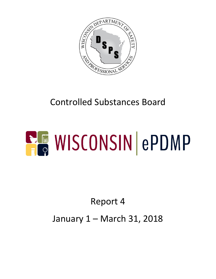

## Controlled Substances Board

# **ELE WISCONSIN ePDMP**

## Report 4

#### January 1 – March 31, 2018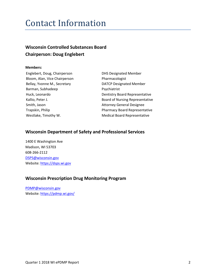#### Contact Information

#### **Wisconsin Controlled Substances Board Chairperson: Doug Englebert**

#### **Members:**

Englebert, Doug, Chairperson DHS Designated Member Bloom, Alan, Vice Chairperson Pharmacologist Bellay, Yvonne M., Secretary **DATCP** Designated Member Barman, Subhadeep Psychiatrist Smith, Jason **Attorney General Designee** 

Huck, Leonardo **Dentistry Board Representative** Kallio, Peter J. **Kallio**, Peter J. **Board of Nursing Representative** Trapskin, Philip Pharmacy Board Representative Westlake, Timothy W. Nedical Board Representative

#### **Wisconsin Department of Safety and Professional Services**

1400 E Washington Ave Madison, WI 53703 608-266-2112 [DSPS@wisconsin.gov](mailto:DSPS@wisconsin.gov) Website[: https://dsps.wi.gov](https://dsps.wi.gov/)

#### **Wisconsin Prescription Drug Monitoring Program**

[PDMP@wisconsin.gov](mailto:PDMP@wisconsin.gov) Website[: https://pdmp.wi.gov/](https://pdmp.wi.gov/)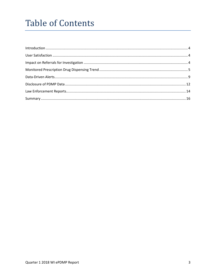#### **Table of Contents**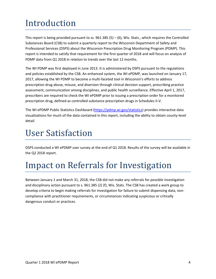## <span id="page-3-0"></span>Introduction

This report is being provided pursuant to ss.  $961.385(5) - (6)$ , Wis. Stats., which requires the Controlled Substances Board (CSB) to submit a quarterly report to the Wisconsin Department of Safety and Professional Services (DSPS) about the Wisconsin Prescription Drug Monitoring Program (PDMP). This report is intended to satisfy that requirement for the first quarter of 2018 and will focus on analysis of PDMP data from Q1 2018 in relation to trends over the last 12 months.

The WI PDMP was first deployed in June 2013. It is administered by DSPS pursuant to the regulations and policies established by the CSB. An enhanced system, the WI ePDMP, was launched on January 17, 2017, allowing the WI PDMP to become a multi-faceted tool in Wisconsin's efforts to address prescription drug abuse, misuse, and diversion through clinical decision support, prescribing practice assessment, communication among disciplines, and public health surveillance. Effective April 1, 2017, prescribers are required to check the WI ePDMP prior to issuing a prescription order for a monitored prescription drug, defined as controlled substance prescription drugs in Schedules II-V.

The WI ePDMP Public Statistics Dashboard [\(https://pdmp.wi.gov/statistics\)](https://pdmp.wi.gov/statistics) provides interactive data visualizations for much of the data contained in this report, including the ability to obtain county-level detail.

#### <span id="page-3-1"></span>User Satisfaction

DSPS conducted a WI ePDMP user survey at the end of Q1 2018. Results of the survey will be available in the Q2 2018 report.

#### <span id="page-3-2"></span>Impact on Referrals for Investigation

Between January 1 and March 31, 2018, the CSB did not make any referrals for possible investigation and disciplinary action pursuant to s. 961.385 (2) (f), Wis. Stats. The CSB has created a work group to develop criteria to begin making referrals for investigation for failure to submit dispensing data, noncompliance with practitioner requirements, or circumstances indicating suspicious or critically dangerous conduct or practices.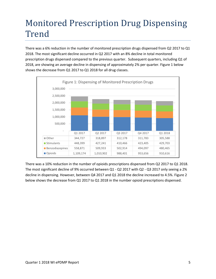### <span id="page-4-0"></span>Monitored Prescription Drug Dispensing Trend

There was a 6% reduction in the number of monitored prescription drugs dispensed from Q2 2017 to Q1 2018. The most significant decline occurred in Q2 2017 with an 8% decline in total monitored prescription drugs dispensed compared to the previous quarter. Subsequent quarters, including Q1 of 2018, are showing an average decline in dispensing of approximately 2% per quarter. Figure 1 below shows the decrease from Q1 2017 to Q1 2018 for all drug classes.



There was a 10% reduction in the number of opioids prescriptions dispensed from Q2 2017 to Q1 2018. The most significant decline of 9% occurred between Q1 - Q2 2017 with Q2 - Q3 2017 only seeing a 2% decline in dispensing. However, between Q4 2017 and Q1 2018 the decline increased to 4.5%. Figure 2 below shows the decrease from Q1 2017 to Q1 2018 in the number opioid prescriptions dispensed.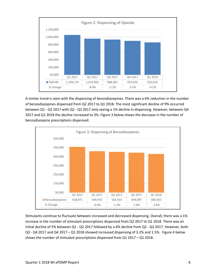

A similar trend is seen with the dispensing of benzodiazepines. There was a 6% reduction in the number of benzodiazepines dispensed from Q2 2017 to Q1 2018. The most significant decline of 9% occurred between Q1 - Q2 2017 with Q2 - Q3 2017 only seeing a 1% decline in dispensing. However, between Q4 2017 and Q1 2018 the decline increased to 3%. Figure 3 below shows the decrease in the number of benzodiazepine prescriptions dispensed.



Stimulants continue to fluctuate between increased and decreased dispensing. Overall, there was a 1% increase in the number of stimulant prescriptions dispensed from Q2 2017 to Q1 2018. There was an initial decline of 5% between Q1 - Q2 2017 followed by a 4% decline from Q2 - Q3 2017. However, both Q3 - Q4 2017 and Q4 2017 – Q1 2018 showed increased dispensing of 3.2% and 1.5%. Figure 4 below shows the number of stimulant prescriptions dispensed from Q1 2017 – Q1 2018.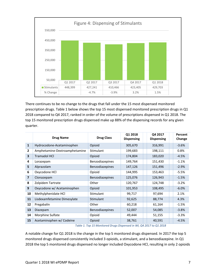

There continues to be no change to the drugs that fall under the 15 most dispensed monitored prescription drugs. Table 1 below shows the top 15 most dispensed monitored prescription drugs in Q1 2018 compared to Q4 2017, ranked in order of the volume of prescriptions dispensed in Q1 2018. The top 15 monitored prescription drugs dispensed make up 88% of the dispensing records for any given quarter.

|                | <b>Drug Name</b>              | <b>Drug Class</b> | Q1 2018<br><b>Dispensing</b> | Q4 2017<br><b>Dispensing</b> | Percent<br>Change |
|----------------|-------------------------------|-------------------|------------------------------|------------------------------|-------------------|
| $\mathbf{1}$   | Hydrocodone-Acetaminophen     | Opioid            | 305,670                      | 316,991                      | $-3.6%$           |
| $\mathbf{2}$   | Amphetamine-Dextroamphetamine | <b>Stimulant</b>  | 199,683                      | 198,111                      | 0.8%              |
| 3              | <b>Tramadol HCI</b>           | Opioid            | 174,804                      | 183,020                      | $-4.5%$           |
| 4              | Lorazepam                     | Benzodiazepines   | 149,764                      | 151,430                      | $-1.1%$           |
| 5              | Alprazolam                    | Benzodiazepines   | 147,126                      | 151,496                      | $-2.9%$           |
| 6              | Oxycodone HCl                 | Opioid            | 144,995                      | 153,463                      | $-5.5%$           |
| $\overline{7}$ | Clonazepam                    | Benzodiazepines   | 125,076                      | 126,943                      | $-1.5%$           |
| 8              | Zolpidem Tartrate             | Other             | 120,767                      | 124,748                      | $-3.2%$           |
| 9              | Oxycodone w/ Acetaminophen    | Opioid            | 101,953                      | 108,495                      | $-6.0%$           |
| 10             | Methylphenidate HCl           | <b>Stimulant</b>  | 99,717                       | 97,694                       | 2.1%              |
| 11             | Lisdexamfetamine Dimesylate   | <b>Stimulant</b>  | 92,625                       | 88,774                       | 4.3%              |
| 12             | Pregabalin                    | Other             | 60,218                       | 61,164                       | $-1.5%$           |
| 13             | Diazepam                      | Benzodiazepines   | 52,007                       | 54,085                       | $-3.8%$           |
| 14             | Morphine Sulfate              | Opioid            | 49,444                       | 51,155                       | $-3.3%$           |
| 15             | Acetaminophen w/ Codeine      | Opioid            | 38,761                       | 40,591                       | $-4.5%$           |

*Table 1. Top 15 Monitored Drugs Dispensed in WI, Q4 2017 to Q1 2018*

A notable change for Q1 2018 is the change in the top 5 monitored drugs dispensed. In 2017 the top 5 monitored drugs dispensed consistently included 3 opioids, a stimulant, and a benzodiazepine. In Q1 2018 the top 5 monitored drugs dispensed no longer included Oxycodone HCl, resulting in only 2 opioids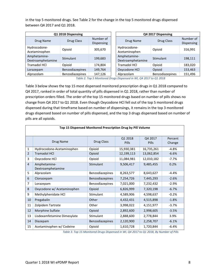in the top 5 monitored drugs. See Table 2 for the change in the top 5 monitored drugs dispensed between Q4 2017 and Q1 2018.

| Q1 2018 Dispensing                |                 |                                | Q4 2017 Dispensing |                                   |                        |                         |
|-----------------------------------|-----------------|--------------------------------|--------------------|-----------------------------------|------------------------|-------------------------|
| Drug Name                         | Drug Class      | Number of<br><b>Dispensing</b> |                    | Drug Name                         | Drug Class             | Number of<br>Dispensing |
| Hydrocodone-<br>Acetaminophen     | Opioid          | 305,670                        |                    | Hydrocodone-<br>Acetaminophen     | Opioid                 | 316,991                 |
| Amphetamine-<br>Dextroamphetamine | Stimulant       | 199,683                        |                    | Amphetamine-<br>Dextroamphetamine | Stimulant              | 198,111                 |
| <b>Tramadol HCI</b>               | Opioid          | 174,804                        |                    | <b>Tramadol HCI</b>               | Opioid                 | 183,020                 |
| Lorazepam                         | Benzodiazepines | 149,764                        |                    | Oxycodone HCl                     | Opioid                 | 153,463                 |
| Alprazolam                        | Benzodiazepines | 147,126                        |                    | Alprazolam                        | <b>Benzodiazepines</b> | 151,496                 |

*Table 2. Top 5 Monitored Drugs Dispensed in WI, Q4 2017 to Q1 2018*

Table 3 below shows the top 15 most dispensed monitored prescription drugs in Q1 2018 compared to Q4 2017, ranked in order of total quantity of pills dispensed in Q1 2018, rather than number of prescription orders filled. The order of the top 15 monitored drugs based on number of pills shows no change from Q4 2017 to Q1 2018. Even though Oxycodone HCl fell out of the top 5 monitored drugs dispensed during that timeframe based on number of dispensings, it remains in the top 3 monitored drugs dispensed based on number of pills dispensed, and the top 3 drugs dispensed based on number of pills are all opioids.

| Top 15 Dispensed Monitored Prescription Drug by Pill Volume |                                   |                  |                  |                  |                   |  |
|-------------------------------------------------------------|-----------------------------------|------------------|------------------|------------------|-------------------|--|
|                                                             | Drug Name                         | Drug Class       | Q1 2018<br>Pills | Q4 2017<br>Pills | Percent<br>Change |  |
| $\mathbf{1}$                                                | Hydrocodone-Acetaminophen         | Opioid           | 15,930,381       | 16,735,261       | $-4.8%$           |  |
| 2                                                           | <b>Tramadol HCI</b>               | Opioid           | 12,199,113       | 13,062,854       | $-6.6%$           |  |
| 3                                                           | Oxycodone HCl                     | Opioid           | 11,084,981       | 12,010,182       | $-7.7%$           |  |
| 4                                                           | Amphetamine-<br>Dextroamphetamine | <b>Stimulant</b> | 9,506,417        | 9,485,455        | 0.2%              |  |
| 5                                                           | Alprazolam                        | Benzodiazepines  | 8,263,577        | 8,643,627        | $-4.4%$           |  |
| 6                                                           | Clonazepam                        | Benzodiazepines  | 7,254,726        | 7,445,293        | $-2.6%$           |  |
| 7                                                           | Lorazepam                         | Benzodiazepines  | 7,021,000        | 7,232,432        | $-2.9%$           |  |
| 8                                                           | Oxycodone w/ Acetaminophen        | Opioid           | 6,826,999        | 7,320,198        | $-6.7%$           |  |
| 9                                                           | Methylphenidate HCl               | Stimulant        | 4,589,906        | 4,598,637        | $-0.2%$           |  |
| 10                                                          | Pregabalin                        | Other            | 4,432,431        | 4,515,898        | $-1.8%$           |  |
| 11                                                          | Zolpidem Tartrate                 | Other            | 3,998,022        | 4,151,977        | $-3.7%$           |  |
| 12                                                          | Morphine Sulfate                  | Opioid           | 2,892,600        | 2,998,605        | $-3.5%$           |  |
| 13                                                          | Lisdexamfetamine Dimesylate       | Stimulant        | 2,888,600        | 2,778,844        | 3.9%              |  |
| 14                                                          | Diazepam                          | Benzodiazepines  | 2,120,900        | 2,258,707        | $-6.1%$           |  |
| 15                                                          | Acetaminophen w/ Codeine          | Opioid           | 1,610,728        | 1,720,844        | $-6.4%$           |  |

*Table 3. Top 15 Monitored Drugs Dispensed in WI, Q4 2017 to Q1 2018, By Number of Pills*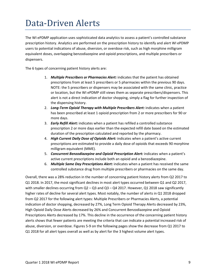#### <span id="page-8-0"></span>Data-Driven Alerts

The WI ePDMP application uses sophisticated data analytics to assess a patient's controlled substance prescription history. Analytics are performed on the prescription history to identify and alert WI ePDMP users to potential indications of abuse, diversion, or overdose risk, such as high morphine milligram equivalent doses, overlapping benzodiazepine and opioid prescriptions, and multiple prescribers or dispensers.

The 6 types of concerning patient history alerts are:

- 1. *Multiple Prescribers or Pharmacies Alert:* indicates that the patient has obtained prescriptions from at least 5 prescribers or 5 pharmacies within the previous 90 days. NOTE: the 5 prescribers or dispensers may be associated with the same clinic, practice or location, but the WI ePDMP still views them as separate prescribers/dispensers. This alert is not a direct indication of doctor shopping, simply a flag for further inspection of the dispensing history.
- 2. *Long-Term Opioid Therapy with Multiple Prescribers Alert:* indicates when a patient has been prescribed at least 1 opioid prescription from 2 or more prescribers for 90 or more days.
- 3. *Early Refill Alert:* indicates when a patient has refilled a controlled substance prescription 2 or more days earlier than the expected refill date based on the estimated duration of the prescription calculated and reported by the pharmacy.
- 4. *High Current Daily Dose of Opioids Alert:* indicates when a patient's active current prescriptions are estimated to provide a daily dose of opioids that exceeds 90 morphine milligram equivalent (MME).
- 5. *Concurrent Benzodiazepine and Opioid Prescription Alert:* indicates when a patient's active current prescriptions include both an opioid and a benzodiazepine.
- 6. *Multiple Same Day Prescriptions Alert:* indicates when a patient has received the same controlled substance drug from multiple prescribers or pharmacies on the same day.

Overall, there was a 28% reduction in the number of concerning patient history alerts from Q2 2017 to Q1 2018. In 2017, the most significant declines in most alert types occurred between Q1 and Q2 2017, with smaller declines occurring from Q2 – Q3 and Q3 – Q4 2017. However, Q1 2018 saw significantly higher rates of decline for several alert types. Most notably, the number of alerts in Q1 2018 dropped from Q2 2017 for the following alert types: Multiple Prescribers or Pharmacies Alerts, a potential indication of doctor shopping, decreased by 27%, Long Term Opioid Therapy Alerts decreased by 23%, High Opioid Daily Dose Alerts decreased by 26% and Concurrent Benzodiazepine and Opioid Prescriptions Alerts decreased by 17%. This decline in the occurrence of the concerning patient history alerts shows that fewer patients are meeting the criteria that can indicate a potential increased risk of abuse, diversion, or overdose. Figures 5-9 on the following pages show the decrease from Q1 2017 to Q1 2018 for all alert types overall as well as by alert for the 3 highest volume alert types.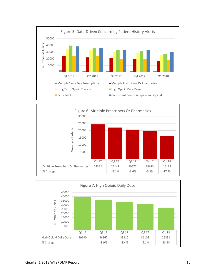



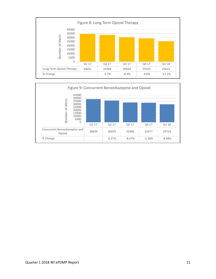

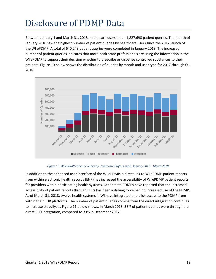## <span id="page-11-0"></span>Disclosure of PDMP Data

Between January 1 and March 31, 2018, healthcare users made 1,827,698 patient queries. The month of January 2018 saw the highest number of patient queries by healthcare users since the 2017 launch of the WI ePDMP. A total of 640,243 patient queries were completed in January 2018. The increased number of patient queries indicates that more healthcare professionals are using the information in the WI ePDMP to support their decision whether to prescribe or dispense controlled substances to their patients. Figure 10 below shows the distribution of queries by month and user type for 2017 through Q1 2018.





In addition to the enhanced user interface of the WI ePDMP, a direct link to WI ePDMP patient reports from within electronic health records (EHR) has increased the accessibility of WI ePDMP patient reports for providers within participating health systems. Other state PDMPs have reported that the increased accessibility of patient reports through EHRs has been a driving force behind increased use of the PDMP. As of March 31, 2018, twelve health systems in WI have integrated one-click access to the PDMP from within their EHR platforms. The number of patient queries coming from the direct integration continues to increase steadily, as Figure 11 below shows. In March 2018, 38% of patient queries were through the direct EHR integration, compared to 33% in December 2017.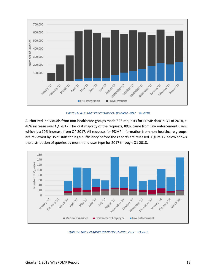

*Figure 11. WI ePDMP Patient Queries, by Source, 2017 – Q1 2018*

Authorized individuals from non-healthcare groups made 326 requests for PDMP data in Q1 of 2018, a 40% increase over Q4 2017. The vast majority of the requests, 80%, came from law enforcement users, which is a 10% increase from Q4 2017. All requests for PDMP information from non-healthcare groups are reviewed by DSPS staff for legal sufficiency before the reports are released. Figure 12 below shows the distribution of queries by month and user type for 2017 through Q1 2018.



*Figure 12. Non-Healthcare WI ePDMP Queries, 2017 – Q1 2018*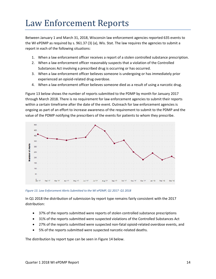#### <span id="page-13-0"></span>Law Enforcement Reports

Between January 1 and March 31, 2018, Wisconsin law enforcement agencies reported 635 events to the WI ePDMP as required by s. [961.37 \(3\) \(a\),](https://docs.legis.wisconsin.gov/document/statutes/961.37(3)(a)) Wis. Stat. The law requires the agencies to submit a report in each of the following situations:

- 1. When a law enforcement officer receives a report of a stolen controlled substance prescription.
- 2. When a law enforcement officer reasonably suspects that a violation of the Controlled Substances Act involving a prescribed drug is occurring or has occurred.
- 3. When a law enforcement officer believes someone is undergoing or has immediately prior experienced an opioid-related drug overdose.
- 4. When a law enforcement officer believes someone died as a result of using a narcotic drug.

Figure 13 below shows the number of reports submitted to the PDMP by month for January 2017 through March 2018. There is no requirement for law enforcement agencies to submit their reports within a certain timeframe after the date of the event. Outreach for law enforcement agencies is ongoing as part of an effort to increase awareness of the requirement to submit to the PDMP and the value of the PDMP notifying the prescribers of the events for patients to whom they prescribe.



*Figure 13. Law Enforcement Alerts Submitted to the WI ePDMP, Q1 2017- Q1 2018*

In Q1 2018 the distribution of submission by report type remains fairly consistent with the 2017 distribution:

- 37% of the reports submitted were reports of stolen controlled substance prescriptions
- 31% of the reports submitted were suspected violations of the Controlled Substances Act
- 27% of the reports submitted were suspected non-fatal opioid-related overdose events, and
- 5% of the reports submitted were suspected narcotic-related deaths.

The distribution by report type can be seen in Figure 14 below.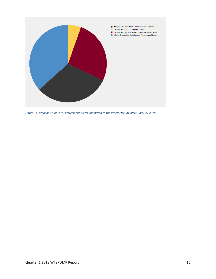

*Figure 14. Breakdown of Law Enforcement Alerts Submitted to the WI ePDMP, by Alert Type, Q1 2018*